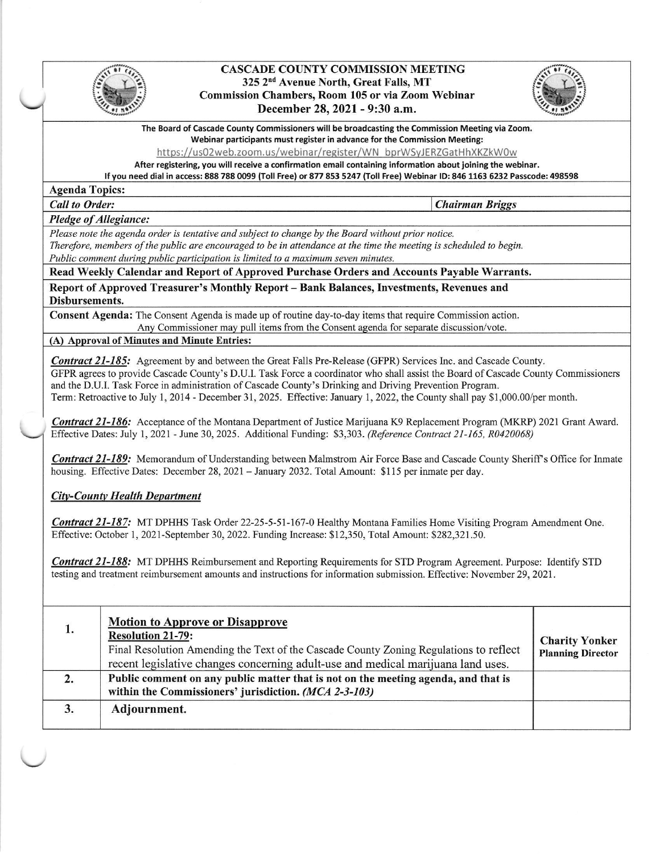

## CASCADE COUNTY COMMISSION MEETING 325 2<sup>nd</sup> Avenue North, Great Falls, MT Commission Chambers, Room 105 or via Zoom Webinar December 28, 2021 - 9:30 a.m.



The Board of Cascade County Commissioners will be broadcasting the Commission Meeting via Zoom. Webinar participants must register in advance for the Commission Meeting:

https://us02web.zoom.us/webinar/resister/WN bprWSvlERzGatHhXKZkWow

After registering, you will receive a confirmation email containing information about joining the webinar.

lf you need dial in access: 888 788 0099 (Toll Free) or 877 853 5247 (Toll Free) Webinar ID: 846 1163 6232 Passcode: 498598

Agenda Topics:

Call to Order: Chairman Briggs Chairman Briggs

Pledge of Allegiance:

Please note the agenda order is tentative and subject to change by the Board without prior notice. Therefore, members of the public are encouraged to be in attendance at the time the meeting is scheduled to begin.

Public comment during public participation is limited to a maximum seven minutes.

Read Weekly Calendar and Report of Approved Purchase Orders and Accounts Payable Warrants.

Report of Approved Treasurer's Monthly Report - Bank Balances, Investments, Revenues and Disbursements,

Consent Agenda: The Consent Agenda is made up of routine day-to-day items that require Commission action. Any Commissioner may pull items from the Consent agenda for separate discussion/vote.

(A) Approval of Minutes and Minute Entries:

**Contract 21-185:** Agreement by and between the Great Falls Pre-Release (GFPR) Services Inc. and Cascade County. GFPR agrees to provide Cascade County's D.U.I. Task Force a coordinator who shall assist the Board of Cascade County Commissioners and the D.U.l. Task Force in administration of Cascade County's Drinking and Driving Prevention Program. Tem: Retroactive to July l, 2014 - Decembet 31,2025. Effective: January 1, 2022, the County shall pay \$1,000.00/per month.

**Contract 21-186:** Acceptance of the Montana Department of Justice Marijuana K9 Replacement Program (MKRP) 2021 Grant Award. Effective Dates: July 1, 2021 - June 30, 2025. Additional Funding: \$3,303. (Reference Contract 21-165, R0420068)

**Contract 21-189:** Memorandum of Understanding between Malmstrom Air Force Base and Cascade County Sheriff's Office for Inmate housing. Effective Dates: December 28, 2021 - January 2032. Total Amount: \$115 per inmate per day.

## City-County Health Department

Contract 21-187: MT DPHHS Task Order 22-25-5-51-167-0 Healthy Montana Families Home Visiting Program Amendment One. Effective: October l, 2021-September 30, 2022. Funding Increase: \$12,350, Total Amount: \$282,321.50

Contract 21-188: MT DPHHS Reimbursement and Repoting Requirements for STD Program Agreement. Purpose: Identifu STD testing and treatment reimbursement amounts and instructions for information submission. Effective: November 29, 2021.

|    | <b>Motion to Approve or Disapprove</b><br><b>Resolution 21-79:</b><br>Final Resolution Amending the Text of the Cascade County Zoning Regulations to reflect<br>recent legislative changes concerning adult-use and medical marijuana land uses. | <b>Charity Yonker</b><br><b>Planning Director</b> |
|----|--------------------------------------------------------------------------------------------------------------------------------------------------------------------------------------------------------------------------------------------------|---------------------------------------------------|
| 2. | Public comment on any public matter that is not on the meeting agenda, and that is<br>within the Commissioners' jurisdiction. (MCA 2-3-103)                                                                                                      |                                                   |
| 3. | Adjournment.                                                                                                                                                                                                                                     |                                                   |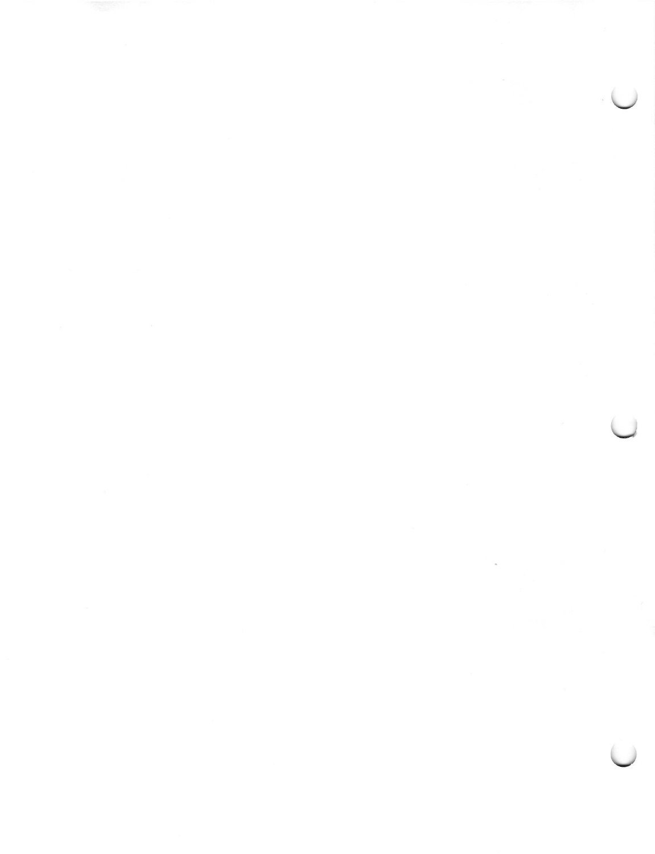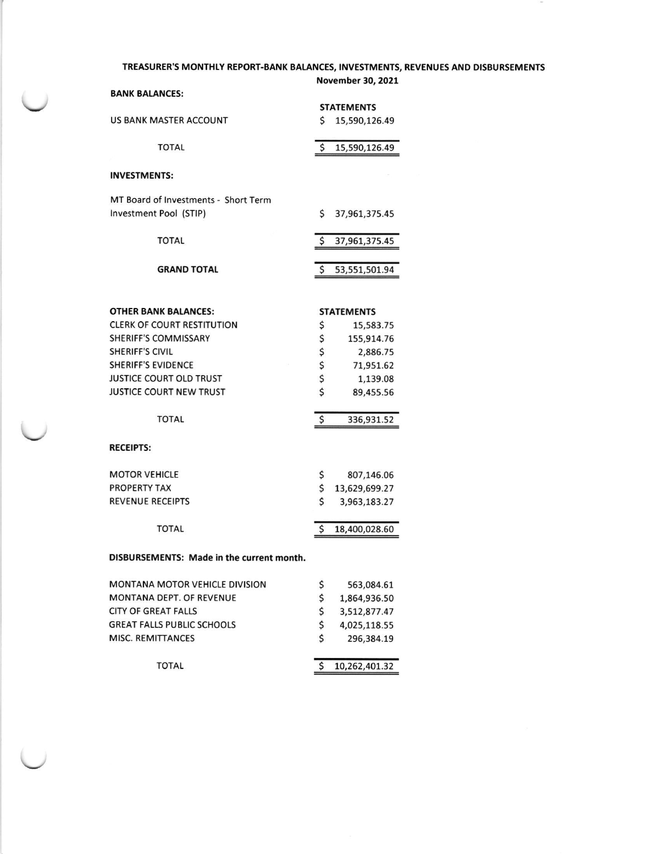REVENUES AND DISBURSEMENTS

| TREASURER'S MONTHLY REPORT-BANK BALANCES, INVESTMENTS, I |    |                   |
|----------------------------------------------------------|----|-------------------|
| <b>BANK BALANCES:</b>                                    |    | November 30, 2021 |
|                                                          |    | <b>STATEMENTS</b> |
| US BANK MASTER ACCOUNT                                   | Ś. | 15,590,126.49     |
| <b>TOTAL</b>                                             | \$ | 15,590,126.49     |
| <b>INVESTMENTS:</b>                                      |    |                   |
| MT Board of Investments - Short Term                     |    |                   |
| Investment Pool (STIP)                                   | \$ | 37,961,375.45     |
| <b>TOTAL</b>                                             | \$ | 37,961,375.45     |
|                                                          |    |                   |
| <b>GRAND TOTAL</b>                                       | \$ | 53,551,501.94     |
| <b>OTHER BANK BALANCES:</b>                              |    | <b>STATEMENTS</b> |
| <b>CLERK OF COURT RESTITUTION</b>                        | \$ | 15,583.75         |
| <b>SHERIFF'S COMMISSARY</b>                              | \$ | 155,914.76        |
| <b>SHERIFF'S CIVIL</b>                                   | \$ | 2,886.75          |
| <b>SHERIFF'S EVIDENCE</b>                                | \$ | 71,951.62         |
| JUSTICE COURT OLD TRUST                                  | \$ | 1,139.08          |
| JUSTICE COURT NEW TRUST                                  | \$ | 89,455.56         |
| <b>TOTAL</b>                                             | \$ | 336,931.52        |
| <b>RECEIPTS:</b>                                         |    |                   |
| <b>MOTOR VEHICLE</b>                                     | \$ | 807,146.06        |
| <b>PROPERTY TAX</b>                                      | \$ | 13,629,699.27     |
| <b>REVENUE RECEIPTS</b>                                  | \$ | 3,963,183.27      |
| <b>TOTAL</b>                                             | \$ | 18,400,028.60     |

#### DISBURSEMENTS; Made in the current month.

| MONTANA MOTOR VEHICLE DIVISION    |   | 563,084.61    |
|-----------------------------------|---|---------------|
| MONTANA DEPT. OF REVENUE          | Ś | 1,864,936.50  |
| <b>CITY OF GREAT FALLS</b>        |   | 3,512,877.47  |
| <b>GREAT FALLS PUBLIC SCHOOLS</b> |   | 4,025,118.55  |
| MISC. REMITTANCES                 | S | 296,384.19    |
| <b>TOTAL</b>                      |   | 10,262,401.32 |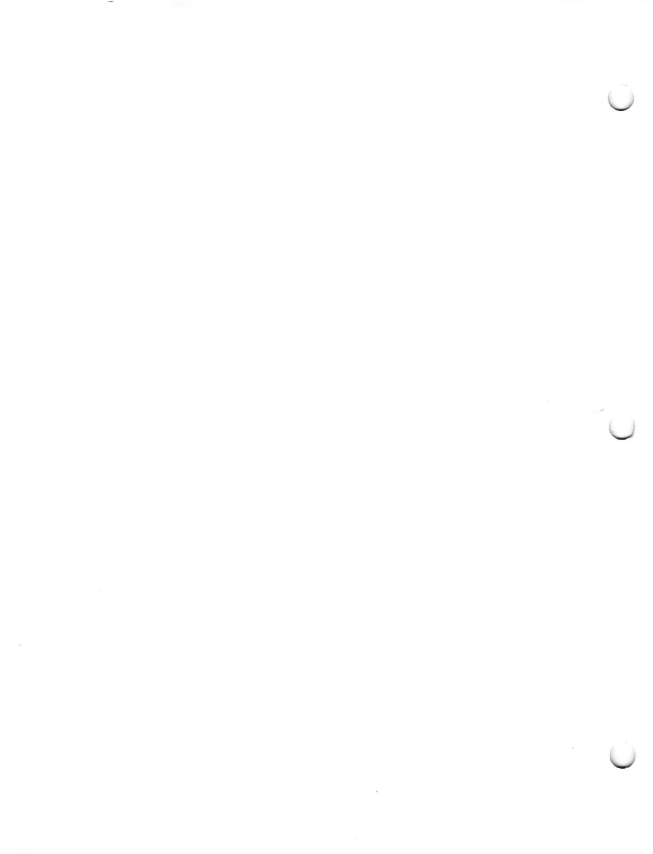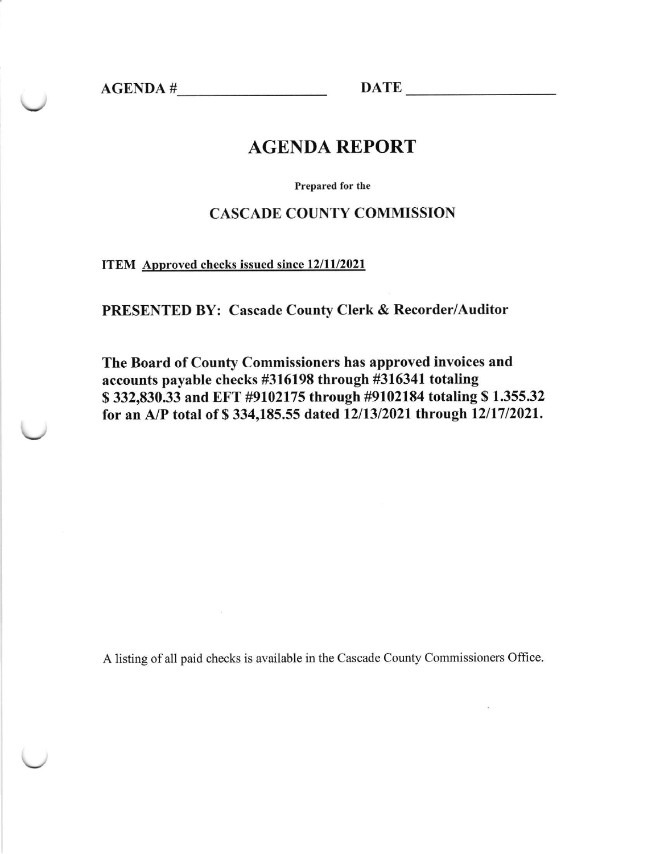AGENDA # DATE

# AGENDA REPORT

Prepared for the

# CASCADE COUNTY COMMISSION

ITEM Approved checks issued since 12/11/2021

PRESENTED BY: Cascade County Clerk & Recorder/Auditor

The Board of County Commissioners has approved invoices and accounts payable checks  $\#316198$  through  $\#316341$  totaling \$ 332,830.33 and EFT #9102175 through #9102184 totaling \$ 1.355.32 for an A,/P total of \$ 334,185.55 dated 1211312021 through 12/1712021.

A listing of all paid checks is available in the Cascade County Commissioners Office.